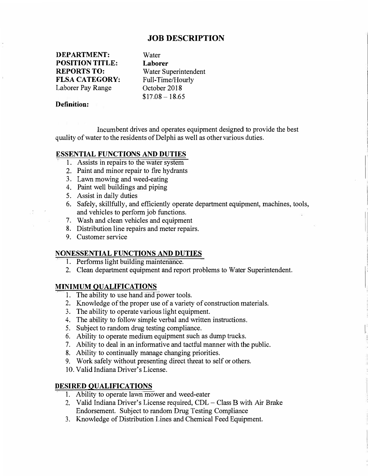# **JOB DESCRIPTION**

**DEPARTMENT: POSITION TITLE: REPORTS TO: FLSA CATEGORY:**  Laborer Pay Range

Water **Laborer** Water Superintendent Full-Time/Hourly October 2018  $$17.08 - 18.65$ 

## **Definition:**

Incumbent drives and operates equipment designed to provide the best quality of water to the residents of Delphi as well as other various duties.

## **ESSENTIAL FUNCTIONS AND DUTIES**

- I. Assists in repairs to the water system
- 2. Paint and minor repair to fire hydrants
- 3. Lawn mowing and weed-eating
- 4. Paint well buildings and piping
- 5. Assist in daily duties
- 6. Safely, skillfully, and efficiently operate department equipment, machines, tools, and vehicles to perform job functions.
- 7. Wash and clean vehicles and equipment
- 8. Distribution line repairs and meter repairs.
- 9. Customer service

## **NONESSENTIAL FUNCTIONS AND DUTIES**

- 1. Performs light building maintenance.
- 2. Clean department equipment and report problems to Water Superintendent.

**l**

#### **MINIMUM QUALIFICATIONS**

- I. The ability to use hand and power tools.
- 2. Knowledge of the proper use of a variety of construction materials.
- 3. The ability to operate various light equipment.
- 4. The ability to follow simple verbal and written instructions.
- 5. Subject to random drug testing compliance.
- 6. Ability to operate medium equipment such as dump trucks.
- 7. Ability to deal in an informative and tactful manner with the public.
- 8. Ability to continually manage changing priorities.
- 9. Work safely without presenting direct threat to self or others.
- 10. Valid Indiana Driver's License.

### **DESIRED QUALIFICATIONS**

- I. Ability to operate lawn mower and weed-eater
- 2. Valid Indiana Driver's License required, CDL- Class B with Air Brake Endorsement. Subject to random Drug Testing Compliance
- 3. Knowledge of Distribution Lines and Chemical Feed Equipment.